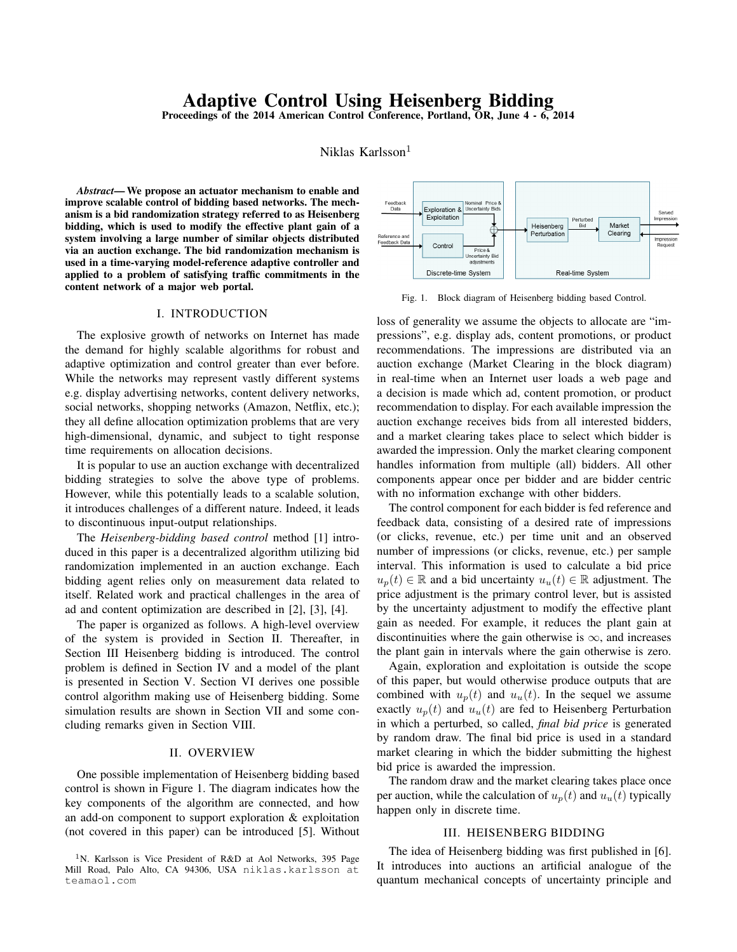# Adaptive Control Using Heisenberg Bidding

Proceedings of the 2014 American Control Conference, Portland, OR, June 4 - 6, 2014

Niklas Karlsson<sup>1</sup>

*Abstract*— We propose an actuator mechanism to enable and improve scalable control of bidding based networks. The mechanism is a bid randomization strategy referred to as Heisenberg bidding, which is used to modify the effective plant gain of a system involving a large number of similar objects distributed via an auction exchange. The bid randomization mechanism is used in a time-varying model-reference adaptive controller and applied to a problem of satisfying traffic commitments in the content network of a major web portal.

#### I. INTRODUCTION

The explosive growth of networks on Internet has made the demand for highly scalable algorithms for robust and adaptive optimization and control greater than ever before. While the networks may represent vastly different systems e.g. display advertising networks, content delivery networks, social networks, shopping networks (Amazon, Netflix, etc.); they all define allocation optimization problems that are very high-dimensional, dynamic, and subject to tight response time requirements on allocation decisions.

It is popular to use an auction exchange with decentralized bidding strategies to solve the above type of problems. However, while this potentially leads to a scalable solution, it introduces challenges of a different nature. Indeed, it leads to discontinuous input-output relationships.

The *Heisenberg-bidding based control* method [1] introduced in this paper is a decentralized algorithm utilizing bid randomization implemented in an auction exchange. Each bidding agent relies only on measurement data related to itself. Related work and practical challenges in the area of ad and content optimization are described in [2], [3], [4].

The paper is organized as follows. A high-level overview of the system is provided in Section II. Thereafter, in Section III Heisenberg bidding is introduced. The control problem is defined in Section IV and a model of the plant is presented in Section V. Section VI derives one possible control algorithm making use of Heisenberg bidding. Some simulation results are shown in Section VII and some concluding remarks given in Section VIII.

### II. OVERVIEW

One possible implementation of Heisenberg bidding based control is shown in Figure 1. The diagram indicates how the key components of the algorithm are connected, and how an add-on component to support exploration & exploitation (not covered in this paper) can be introduced [5]. Without



Fig. 1. Block diagram of Heisenberg bidding based Control.

loss of generality we assume the objects to allocate are "impressions", e.g. display ads, content promotions, or product recommendations. The impressions are distributed via an auction exchange (Market Clearing in the block diagram) in real-time when an Internet user loads a web page and a decision is made which ad, content promotion, or product recommendation to display. For each available impression the auction exchange receives bids from all interested bidders, and a market clearing takes place to select which bidder is awarded the impression. Only the market clearing component handles information from multiple (all) bidders. All other components appear once per bidder and are bidder centric with no information exchange with other bidders.

The control component for each bidder is fed reference and feedback data, consisting of a desired rate of impressions (or clicks, revenue, etc.) per time unit and an observed number of impressions (or clicks, revenue, etc.) per sample interval. This information is used to calculate a bid price  $u_n(t) \in \mathbb{R}$  and a bid uncertainty  $u_n(t) \in \mathbb{R}$  adjustment. The price adjustment is the primary control lever, but is assisted by the uncertainty adjustment to modify the effective plant gain as needed. For example, it reduces the plant gain at discontinuities where the gain otherwise is  $\infty$ , and increases the plant gain in intervals where the gain otherwise is zero.

Again, exploration and exploitation is outside the scope of this paper, but would otherwise produce outputs that are combined with  $u_p(t)$  and  $u_u(t)$ . In the sequel we assume exactly  $u_p(t)$  and  $u_u(t)$  are fed to Heisenberg Perturbation in which a perturbed, so called, *final bid price* is generated by random draw. The final bid price is used in a standard market clearing in which the bidder submitting the highest bid price is awarded the impression.

The random draw and the market clearing takes place once per auction, while the calculation of  $u_n(t)$  and  $u_n(t)$  typically happen only in discrete time.

### III. HEISENBERG BIDDING

The idea of Heisenberg bidding was first published in [6]. It introduces into auctions an artificial analogue of the quantum mechanical concepts of uncertainty principle and

<sup>&</sup>lt;sup>1</sup>N. Karlsson is Vice President of R&D at Aol Networks, 395 Page Mill Road, Palo Alto, CA 94306, USA niklas.karlsson at teamaol.com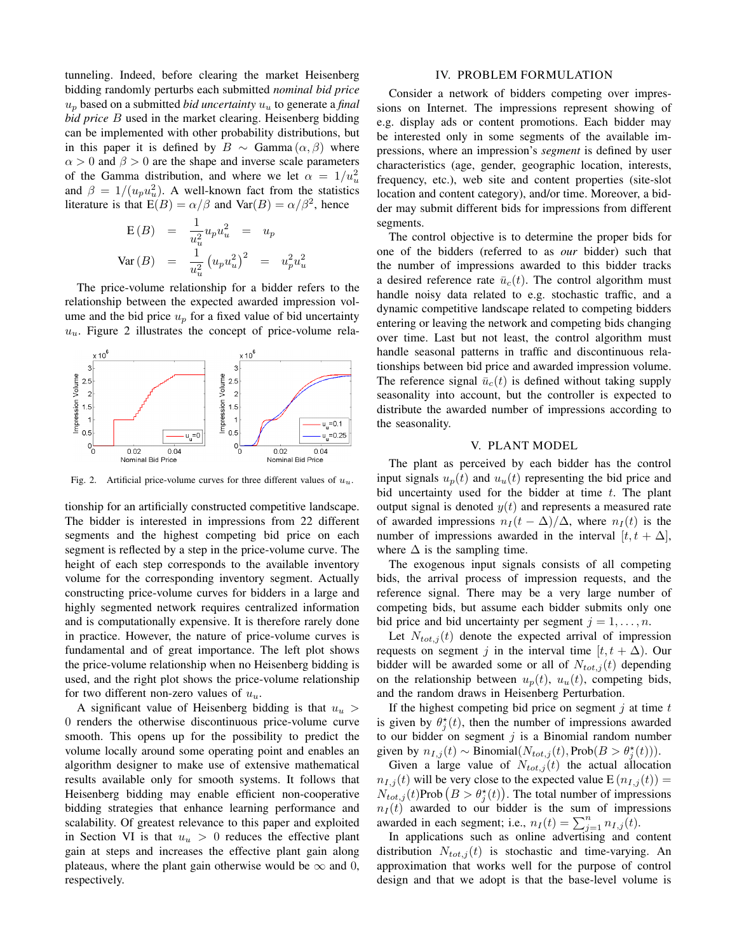tunneling. Indeed, before clearing the market Heisenberg bidding randomly perturbs each submitted *nominal bid price*  $u_p$  based on a submitted *bid uncertainty*  $u_u$  to generate a *final bid price* B used in the market clearing. Heisenberg bidding can be implemented with other probability distributions, but in this paper it is defined by  $B \sim \text{Gamma}(\alpha, \beta)$  where  $\alpha > 0$  and  $\beta > 0$  are the shape and inverse scale parameters of the Gamma distribution, and where we let  $\alpha = 1/u_u^2$ and  $\beta = 1/(u_p u_u^2)$ . A well-known fact from the statistics literature is that  $E(B) = \alpha/\beta$  and  $Var(B) = \alpha/\beta^2$ , hence

$$
E(B) = \frac{1}{u_u^2} u_p u_u^2 = u_p
$$
  

$$
Var(B) = \frac{1}{u_u^2} (u_p u_u^2)^2 = u_p^2 u_u^2
$$

The price-volume relationship for a bidder refers to the relationship between the expected awarded impression volume and the bid price  $u_p$  for a fixed value of bid uncertainty  $u<sub>u</sub>$ . Figure 2 illustrates the concept of price-volume rela-



Fig. 2. Artificial price-volume curves for three different values of  $u_u$ .

tionship for an artificially constructed competitive landscape. The bidder is interested in impressions from 22 different segments and the highest competing bid price on each segment is reflected by a step in the price-volume curve. The height of each step corresponds to the available inventory volume for the corresponding inventory segment. Actually constructing price-volume curves for bidders in a large and highly segmented network requires centralized information and is computationally expensive. It is therefore rarely done in practice. However, the nature of price-volume curves is fundamental and of great importance. The left plot shows the price-volume relationship when no Heisenberg bidding is used, and the right plot shows the price-volume relationship for two different non-zero values of  $u_u$ .

A significant value of Heisenberg bidding is that  $u_u$  > 0 renders the otherwise discontinuous price-volume curve smooth. This opens up for the possibility to predict the volume locally around some operating point and enables an algorithm designer to make use of extensive mathematical results available only for smooth systems. It follows that Heisenberg bidding may enable efficient non-cooperative bidding strategies that enhance learning performance and scalability. Of greatest relevance to this paper and exploited in Section VI is that  $u_u > 0$  reduces the effective plant gain at steps and increases the effective plant gain along plateaus, where the plant gain otherwise would be  $\infty$  and 0, respectively.

### IV. PROBLEM FORMULATION

Consider a network of bidders competing over impressions on Internet. The impressions represent showing of e.g. display ads or content promotions. Each bidder may be interested only in some segments of the available impressions, where an impression's *segment* is defined by user characteristics (age, gender, geographic location, interests, frequency, etc.), web site and content properties (site-slot location and content category), and/or time. Moreover, a bidder may submit different bids for impressions from different segments.

The control objective is to determine the proper bids for one of the bidders (referred to as *our* bidder) such that the number of impressions awarded to this bidder tracks a desired reference rate  $\bar{u}_c(t)$ . The control algorithm must handle noisy data related to e.g. stochastic traffic, and a dynamic competitive landscape related to competing bidders entering or leaving the network and competing bids changing over time. Last but not least, the control algorithm must handle seasonal patterns in traffic and discontinuous relationships between bid price and awarded impression volume. The reference signal  $\bar{u}_c(t)$  is defined without taking supply seasonality into account, but the controller is expected to distribute the awarded number of impressions according to the seasonality.

### V. PLANT MODEL

The plant as perceived by each bidder has the control input signals  $u_p(t)$  and  $u_u(t)$  representing the bid price and bid uncertainty used for the bidder at time  $t$ . The plant output signal is denoted  $y(t)$  and represents a measured rate of awarded impressions  $n_I (t - \Delta)/\Delta$ , where  $n_I (t)$  is the number of impressions awarded in the interval  $[t, t + \Delta]$ , where  $\Delta$  is the sampling time.

The exogenous input signals consists of all competing bids, the arrival process of impression requests, and the reference signal. There may be a very large number of competing bids, but assume each bidder submits only one bid price and bid uncertainty per segment  $j = 1, \ldots, n$ .

Let  $N_{tot,j}(t)$  denote the expected arrival of impression requests on segment j in the interval time  $[t, t + \Delta)$ . Our bidder will be awarded some or all of  $N_{tot,j}(t)$  depending on the relationship between  $u_p(t)$ ,  $u_u(t)$ , competing bids, and the random draws in Heisenberg Perturbation.

If the highest competing bid price on segment  $j$  at time  $t$ is given by  $\theta_j^*(t)$ , then the number of impressions awarded to our bidder on segment  $j$  is a Binomial random number given by  $n_{I,j}(t) \sim \text{Binomial}(N_{tot,j}(t), \text{Prob}(B > \theta_j^*(t))).$ 

Given a large value of  $N_{tot,j}(t)$  the actual allocation  $n_{I,j}(t)$  will be very close to the expected value  $E(n_{I,j}(t)) =$  $N_{tot,j}(t)$ Prob  $(B > \theta_j^*(t))$ . The total number of impressions  $n_I(t)$  awarded to our bidder is the sum of impressions awarded in each segment; i.e.,  $n_I(t) = \sum_{j=1}^n n_{I,j}(t)$ .

In applications such as online advertising and content distribution  $N_{tot,j}(t)$  is stochastic and time-varying. An approximation that works well for the purpose of control design and that we adopt is that the base-level volume is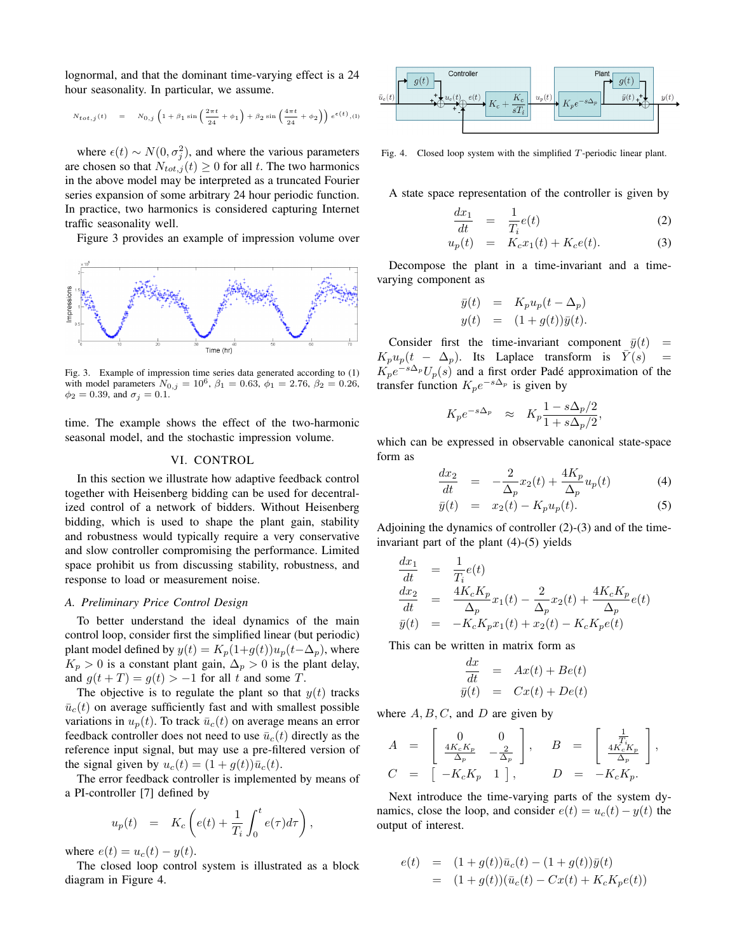lognormal, and that the dominant time-varying effect is a 24 hour seasonality. In particular, we assume.

$$
N_{tot,j}(t) = N_{0,j} \left( 1 + \beta_1 \sin \left( \frac{2\pi t}{24} + \phi_1 \right) + \beta_2 \sin \left( \frac{4\pi t}{24} + \phi_2 \right) \right) e^{\epsilon(t)},
$$
(1)

where  $\epsilon(t) \sim N(0, \sigma_j^2)$ , and where the various parameters are chosen so that  $N_{tot,j}(t) \geq 0$  for all t. The two harmonics in the above model may be interpreted as a truncated Fourier series expansion of some arbitrary 24 hour periodic function. In practice, two harmonics is considered capturing Internet traffic seasonality well.

Figure 3 provides an example of impression volume over



Fig. 3. Example of impression time series data generated according to (1) with model parameters  $N_{0,j} = 10^6$ ,  $\beta_1 = 0.63$ ,  $\phi_1 = 2.76$ ,  $\beta_2 = 0.26$ ,  $\phi_2 = 0.39$ , and  $\sigma_i = 0.1$ .

time. The example shows the effect of the two-harmonic seasonal model, and the stochastic impression volume.

## VI. CONTROL

In this section we illustrate how adaptive feedback control together with Heisenberg bidding can be used for decentralized control of a network of bidders. Without Heisenberg bidding, which is used to shape the plant gain, stability and robustness would typically require a very conservative and slow controller compromising the performance. Limited space prohibit us from discussing stability, robustness, and response to load or measurement noise.

#### *A. Preliminary Price Control Design*

To better understand the ideal dynamics of the main control loop, consider first the simplified linear (but periodic) plant model defined by  $y(t) = K_p(1+g(t))u_p(t-\Delta_p)$ , where  $K_p > 0$  is a constant plant gain,  $\Delta_p > 0$  is the plant delay, and  $g(t+T) = g(t) > -1$  for all t and some T.

The objective is to regulate the plant so that  $y(t)$  tracks  $\bar{u}_c(t)$  on average sufficiently fast and with smallest possible variations in  $u_p(t)$ . To track  $\bar{u}_c(t)$  on average means an error feedback controller does not need to use  $\bar{u}_c(t)$  directly as the reference input signal, but may use a pre-filtered version of the signal given by  $u_c(t) = (1 + q(t))\bar{u}_c(t)$ .

The error feedback controller is implemented by means of a PI-controller [7] defined by

$$
u_p(t) = K_c \left( e(t) + \frac{1}{T_i} \int_0^t e(\tau) d\tau \right),
$$

where  $e(t) = u_c(t) - y(t)$ .

The closed loop control system is illustrated as a block diagram in Figure 4.



Fig. 4. Closed loop system with the simplified T-periodic linear plant.

A state space representation of the controller is given by

$$
\frac{dx_1}{dt} = \frac{1}{T_i}e(t) \tag{2}
$$

$$
u_p(t) = K_c x_1(t) + K_c e(t).
$$
 (3)

Decompose the plant in a time-invariant and a timevarying component as

$$
\overline{y}(t) = K_p u_p(t - \Delta_p)
$$
  

$$
y(t) = (1 + g(t))\overline{y}(t).
$$

Consider first the time-invariant component  $\bar{y}(t)$  $K_p u_p(t - \Delta_p)$ . Its Laplace transform is  $\overline{Y}(s)$  =  $K_p e^{-s\Delta_p} U_p(s)$  and a first order Padé approximation of the transfer function  $K_p e^{-s\Delta_p}$  is given by

$$
K_p e^{-s\Delta_p} \approx K_p \frac{1 - s\Delta_p/2}{1 + s\Delta_p/2},
$$

which can be expressed in observable canonical state-space form as

$$
\frac{dx_2}{dt} = -\frac{2}{\Delta_p}x_2(t) + \frac{4K_p}{\Delta_p}u_p(t) \tag{4}
$$

$$
\bar{y}(t) = x_2(t) - K_p u_p(t).
$$
 (5)

Adjoining the dynamics of controller (2)-(3) and of the timeinvariant part of the plant (4)-(5) yields

$$
\begin{array}{rcl}\n\frac{dx_1}{dt} & = & \frac{1}{T_i} e(t) \\
\frac{dx_2}{dt} & = & \frac{4K_cK_p}{\Delta_p} x_1(t) - \frac{2}{\Delta_p} x_2(t) + \frac{4K_cK_p}{\Delta_p} e(t) \\
\bar{y}(t) & = & -K_cK_p x_1(t) + x_2(t) - K_cK_p e(t)\n\end{array}
$$

This can be written in matrix form as

$$
\begin{array}{rcl}\n\frac{dx}{dt} & = & Ax(t) + Be(t) \\
\bar{y}(t) & = & Cx(t) + De(t)\n\end{array}
$$

where  $A, B, C$ , and  $D$  are given by

$$
A = \begin{bmatrix} 0 & 0 \\ \frac{4K_cK_p}{\Delta_p} & -\frac{2}{\Delta_p} \end{bmatrix}, \quad B = \begin{bmatrix} \frac{1}{T_i} \\ \frac{4K_cK_p}{\Delta_p} \end{bmatrix},
$$
  

$$
C = \begin{bmatrix} -K_cK_p & 1 \end{bmatrix}, \quad D = -K_cK_p.
$$

Next introduce the time-varying parts of the system dynamics, close the loop, and consider  $e(t) = u_c(t) - y(t)$  the output of interest.

$$
e(t) = (1 + g(t))\bar{u}_c(t) - (1 + g(t))\bar{y}(t)
$$
  
= 
$$
(1 + g(t))(\bar{u}_c(t) - Cx(t) + K_cK_pe(t))
$$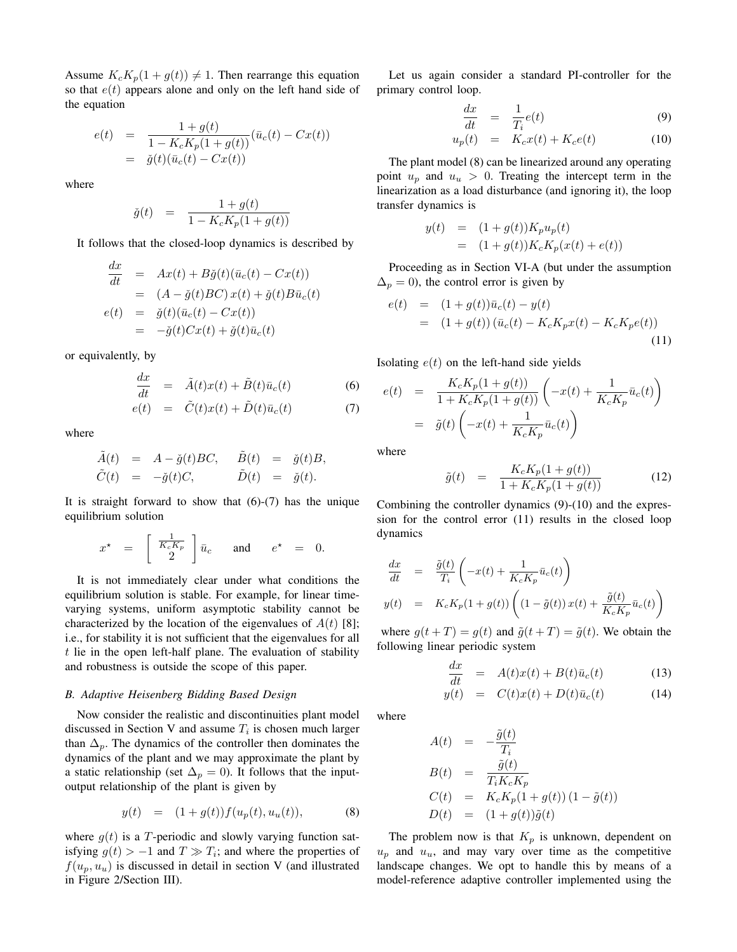Assume  $K_c K_p(1 + g(t)) \neq 1$ . Then rearrange this equation so that  $e(t)$  appears alone and only on the left hand side of the equation

$$
e(t) = \frac{1 + g(t)}{1 - K_c K_p (1 + g(t))} (\bar{u}_c(t) - Cx(t))
$$
  
=  $\check{g}(t) (\bar{u}_c(t) - Cx(t))$ 

where

$$
\check{g}(t) \;\; = \;\; \frac{1+g(t)}{1-K_cK_p(1+g(t))}
$$

It follows that the closed-loop dynamics is described by

$$
\frac{dx}{dt} = Ax(t) + B\check{g}(t)(\bar{u}_c(t) - Cx(t))
$$
\n
$$
= (A - \check{g}(t)BC) x(t) + \check{g}(t)B\bar{u}_c(t)
$$
\n
$$
e(t) = \check{g}(t)(\bar{u}_c(t) - Cx(t))
$$
\n
$$
= -\check{g}(t)Cx(t) + \check{g}(t)\bar{u}_c(t)
$$

or equivalently, by

$$
\frac{dx}{dt} = \tilde{A}(t)x(t) + \tilde{B}(t)\bar{u}_c(t) \tag{6}
$$

$$
e(t) = \tilde{C}(t)x(t) + \tilde{D}(t)\bar{u}_c(t) \tag{7}
$$

where

$$
\begin{array}{rcl}\n\tilde{A}(t) & = & A - \check{g}(t)BC, \quad \tilde{B}(t) & = & \check{g}(t)B, \\
\tilde{C}(t) & = & -\check{g}(t)C, \quad \tilde{D}(t) & = & \check{g}(t).\n\end{array}
$$

It is straight forward to show that  $(6)-(7)$  has the unique equilibrium solution

$$
x^{\star} = \begin{bmatrix} \frac{1}{K_c K_p} \\ 2 \end{bmatrix} \bar{u}_c \quad \text{and} \quad e^{\star} = 0.
$$

It is not immediately clear under what conditions the equilibrium solution is stable. For example, for linear timevarying systems, uniform asymptotic stability cannot be characterized by the location of the eigenvalues of  $A(t)$  [8]; i.e., for stability it is not sufficient that the eigenvalues for all  $t$  lie in the open left-half plane. The evaluation of stability and robustness is outside the scope of this paper.

### *B. Adaptive Heisenberg Bidding Based Design*

Now consider the realistic and discontinuities plant model discussed in Section V and assume  $T_i$  is chosen much larger than  $\Delta_p$ . The dynamics of the controller then dominates the dynamics of the plant and we may approximate the plant by a static relationship (set  $\Delta_p = 0$ ). It follows that the inputoutput relationship of the plant is given by

$$
y(t) = (1 + g(t))f(u_p(t), u_u(t)), \t\t(8)
$$

where  $g(t)$  is a T-periodic and slowly varying function satisfying  $g(t) > -1$  and  $T \gg T_i$ ; and where the properties of  $f(u_p, u_u)$  is discussed in detail in section V (and illustrated in Figure 2/Section III).

Let us again consider a standard PI-controller for the primary control loop.

$$
\frac{dx}{dt} = \frac{1}{T_i}e(t) \tag{9}
$$

$$
u_p(t) = K_c x(t) + K_c e(t) \tag{10}
$$

The plant model (8) can be linearized around any operating point  $u_p$  and  $u_u > 0$ . Treating the intercept term in the linearization as a load disturbance (and ignoring it), the loop transfer dynamics is

$$
y(t) = (1 + g(t))K_p u_p(t)
$$
  
=  $(1 + g(t))K_c K_p(x(t) + e(t))$ 

Proceeding as in Section VI-A (but under the assumption  $\Delta_p = 0$ ), the control error is given by

$$
e(t) = (1 + g(t))\bar{u}_c(t) - y(t)
$$
  
= (1 + g(t)) (\bar{u}\_c(t) - K\_cK\_px(t) - K\_cK\_pe(t)) (11)

Isolating  $e(t)$  on the left-hand side yields

$$
e(t) = \frac{K_c K_p (1 + g(t))}{1 + K_c K_p (1 + g(t))} \left( -x(t) + \frac{1}{K_c K_p} \bar{u}_c(t) \right)
$$
  

$$
= \tilde{g}(t) \left( -x(t) + \frac{1}{K_c K_p} \bar{u}_c(t) \right)
$$

where

$$
\tilde{g}(t) = \frac{K_c K_p (1 + g(t))}{1 + K_c K_p (1 + g(t))}
$$
\n(12)

Combining the controller dynamics (9)-(10) and the expression for the control error (11) results in the closed loop dynamics

$$
\frac{dx}{dt} = \frac{\tilde{g}(t)}{T_i} \left( -x(t) + \frac{1}{K_c K_p} \bar{u}_c(t) \right)
$$
  

$$
y(t) = K_c K_p (1 + g(t)) \left( (1 - \tilde{g}(t)) x(t) + \frac{\tilde{g}(t)}{K_c K_p} \bar{u}_c(t) \right)
$$

where  $g(t+T) = g(t)$  and  $\tilde{g}(t+T) = \tilde{g}(t)$ . We obtain the following linear periodic system

$$
\frac{dx}{dt} = A(t)x(t) + B(t)\bar{u}_c(t) \tag{13}
$$

$$
y(t) = C(t)x(t) + D(t)\bar{u}_c(t) \tag{14}
$$

where

$$
A(t) = -\frac{g(t)}{T_i}
$$
  
\n
$$
B(t) = \frac{\tilde{g}(t)}{T_i K_c K_p}
$$
  
\n
$$
C(t) = K_c K_p (1 + g(t)) (1 - \tilde{g}(t))
$$
  
\n
$$
D(t) = (1 + g(t)) \tilde{g}(t)
$$

 $\mathbf{z}$ 

The problem now is that  $K_p$  is unknown, dependent on  $u_p$  and  $u_u$ , and may vary over time as the competitive landscape changes. We opt to handle this by means of a model-reference adaptive controller implemented using the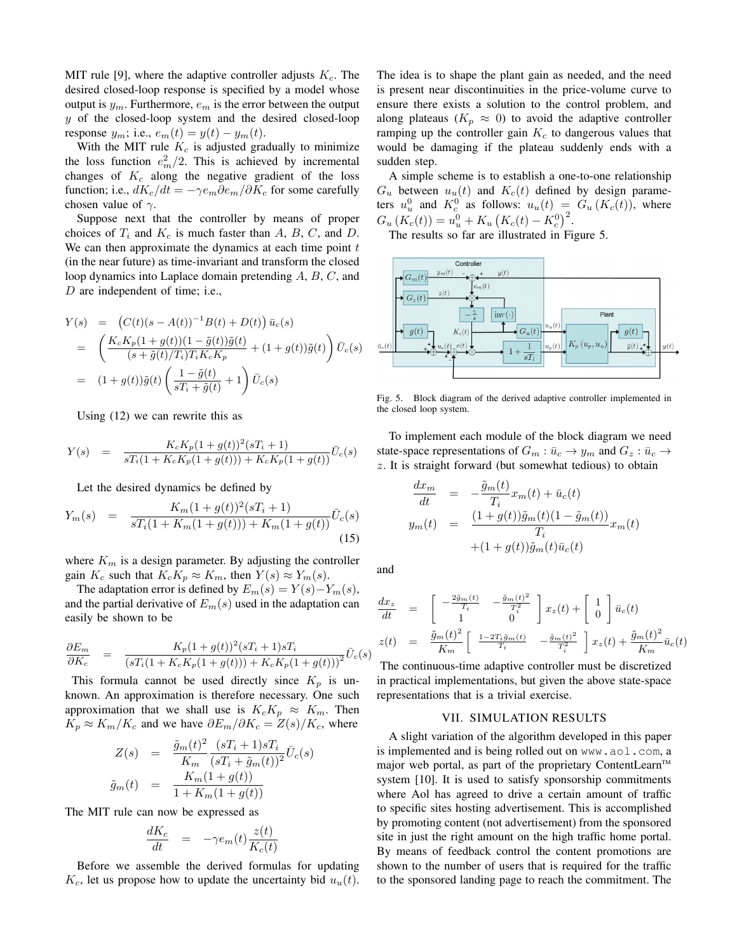MIT rule [9], where the adaptive controller adjusts  $K_c$ . The desired closed-loop response is specified by a model whose output is  $y_m$ . Furthermore,  $e_m$  is the error between the output y of the closed-loop system and the desired closed-loop response  $y_m$ ; i.e.,  $e_m(t) = y(t) - y_m(t)$ .

With the MIT rule  $K_c$  is adjusted gradually to minimize the loss function  $e_m^2/2$ . This is achieved by incremental changes of  $K_c$  along the negative gradient of the loss function; i.e.,  $dK_c/dt = -\gamma e_m \partial e_m/\partial K_c$  for some carefully chosen value of  $\gamma$ .

Suppose next that the controller by means of proper choices of  $T_i$  and  $K_c$  is much faster than A, B, C, and D. We can then approximate the dynamics at each time point  $t$ (in the near future) as time-invariant and transform the closed loop dynamics into Laplace domain pretending A, B, C, and D are independent of time; i.e.,

$$
Y(s) = (C(t)(s - A(t))^{-1}B(t) + D(t)) \bar{u}_c(s)
$$
  
= 
$$
\left(\frac{K_c K_p (1 + g(t)) (1 - \tilde{g}(t)) \tilde{g}(t)}{(s + \tilde{g}(t)/T_i) T_i K_c K_p} + (1 + g(t)) \tilde{g}(t)\right) \bar{U}_c(s)
$$
  
= 
$$
(1 + g(t)) \tilde{g}(t) \left(\frac{1 - \tilde{g}(t)}{sT_i + \tilde{g}(t)} + 1\right) \bar{U}_c(s)
$$

Using (12) we can rewrite this as

$$
Y(s) = \frac{K_c K_p (1 + g(t))^2 (sT_i + 1)}{sT_i (1 + K_c K_p (1 + g(t))) + K_c K_p (1 + g(t))} \bar{U}_c(s)
$$

Let the desired dynamics be defined by

$$
Y_m(s) = \frac{K_m(1+g(t))^2(sT_i+1)}{sT_i(1+K_m(1+g(t))) + K_m(1+g(t))} \bar{U}_c(s)
$$
\n(15)

where  $K_m$  is a design parameter. By adjusting the controller gain  $K_c$  such that  $K_c K_p \approx K_m$ , then  $Y(s) \approx Y_m(s)$ .

The adaptation error is defined by  $E_m(s) = Y(s) - Y_m(s)$ , and the partial derivative of  $E_m(s)$  used in the adaptation can easily be shown to be

$$
\frac{\partial E_m}{\partial K_c} = \frac{K_p (1 + g(t))^2 (sT_i + 1) sT_i}{(sT_i(1 + K_c K_p (1 + g(t))) + K_c K_p (1 + g(t)))^2} \bar{U}_c(s)
$$

This formula cannot be used directly since  $K_p$  is unknown. An approximation is therefore necessary. One such approximation that we shall use is  $K_cK_p \approx K_m$ . Then  $K_p \approx K_m/K_c$  and we have  $\partial E_m/\partial K_c = Z(s)/K_c$ , where

$$
Z(s) = \frac{\tilde{g}_m(t)^2}{K_m} \frac{(sT_i + 1)sT_i}{(sT_i + \tilde{g}_m(t))^2} \bar{U}_c(s)
$$
  

$$
\tilde{g}_m(t) = \frac{K_m(1 + g(t))}{1 + K_m(1 + g(t))}
$$

The MIT rule can now be expressed as

$$
\frac{dK_c}{dt} = -\gamma e_m(t) \frac{z(t)}{K_c(t)}
$$

Before we assemble the derived formulas for updating  $K_c$ , let us propose how to update the uncertainty bid  $u_u(t)$ .

The idea is to shape the plant gain as needed, and the need is present near discontinuities in the price-volume curve to ensure there exists a solution to the control problem, and along plateaus ( $K_p \approx 0$ ) to avoid the adaptive controller ramping up the controller gain  $K_c$  to dangerous values that would be damaging if the plateau suddenly ends with a sudden step.

A simple scheme is to establish a one-to-one relationship  $G_u$  between  $u_u(t)$  and  $K_c(t)$  defined by design parameters  $u_u^0$  and  $K_c^0$  as follows:  $u_u(t) = G_u(K_c(t))$ , where  $G_u(K_c(t)) = u_u^0 + K_u (K_c(t) - K_c^0)^2.$ 

The results so far are illustrated in Figure 5.



Fig. 5. Block diagram of the derived adaptive controller implemented in the closed loop system.

To implement each module of the block diagram we need state-space representations of  $G_m : \bar{u}_c \to y_m$  and  $G_z : \bar{u}_c \to$ z. It is straight forward (but somewhat tedious) to obtain

$$
\frac{dx_m}{dt} = -\frac{\tilde{g}_m(t)}{T_i} x_m(t) + \bar{u}_c(t)
$$
\n
$$
y_m(t) = \frac{(1+g(t))\tilde{g}_m(t)(1-\tilde{g}_m(t))}{T_i} x_m(t)
$$
\n
$$
+(1+g(t))\tilde{g}_m(t)\bar{u}_c(t)
$$

and

$$
\frac{dx_z}{dt} = \begin{bmatrix} -\frac{2\tilde{g}_m(t)}{T_i} & -\frac{\tilde{g}_m(t)^2}{T_i^2} \\ 1 & 0 \end{bmatrix} x_z(t) + \begin{bmatrix} 1 \\ 0 \end{bmatrix} \bar{u}_c(t)
$$
  
\n
$$
z(t) = \frac{\tilde{g}_m(t)^2}{K_m} \begin{bmatrix} \frac{1-2T_i\tilde{g}_m(t)}{T_i} & -\frac{\tilde{g}_m(t)^2}{T_i^2} \end{bmatrix} x_z(t) + \frac{\tilde{g}_m(t)^2}{K_m} \bar{u}_c(t)
$$

The continuous-time adaptive controller must be discretized in practical implementations, but given the above state-space representations that is a trivial exercise.

### VII. SIMULATION RESULTS

A slight variation of the algorithm developed in this paper is implemented and is being rolled out on www.aol.com, a major web portal, as part of the proprietary ContentLearn<sup>™</sup> system [10]. It is used to satisfy sponsorship commitments where Aol has agreed to drive a certain amount of traffic to specific sites hosting advertisement. This is accomplished by promoting content (not advertisement) from the sponsored site in just the right amount on the high traffic home portal. By means of feedback control the content promotions are shown to the number of users that is required for the traffic to the sponsored landing page to reach the commitment. The